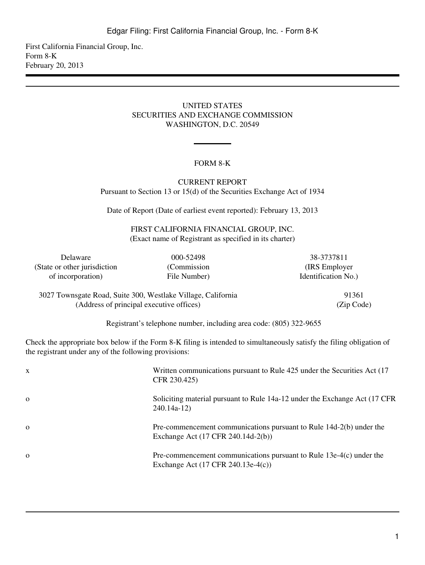First California Financial Group, Inc. Form 8-K February 20, 2013

#### UNITED STATES SECURITIES AND EXCHANGE COMMISSION WASHINGTON, D.C. 20549

# FORM 8-K

CURRENT REPORT Pursuant to Section 13 or 15(d) of the Securities Exchange Act of 1934

Date of Report (Date of earliest event reported): February 13, 2013

FIRST CALIFORNIA FINANCIAL GROUP, INC. (Exact name of Registrant as specified in its charter)

(State or other jurisdiction (Commission (IRS Employer) of incorporation) File Number) Identification No.)

Delaware 000-52498 38-3737811

3027 Townsgate Road, Suite 300, Westlake Village, California 91361 (Address of principal executive offices) (Zip Code)

Registrant's telephone number, including area code: (805) 322-9655

Check the appropriate box below if the Form 8-K filing is intended to simultaneously satisfy the filing obligation of the registrant under any of the following provisions:

| X        | Written communications pursuant to Rule 425 under the Securities Act (17)<br>CFR 230.425)                   |
|----------|-------------------------------------------------------------------------------------------------------------|
| $\Omega$ | Soliciting material pursuant to Rule 14a-12 under the Exchange Act (17 CFR)<br>$240.14a-12$                 |
| $\Omega$ | Pre-commencement communications pursuant to Rule 14d-2(b) under the<br>Exchange Act (17 CFR 240.14d-2(b))   |
| $\Omega$ | Pre-commencement communications pursuant to Rule $13e-4(c)$ under the<br>Exchange Act (17 CFR 240.13e-4(c)) |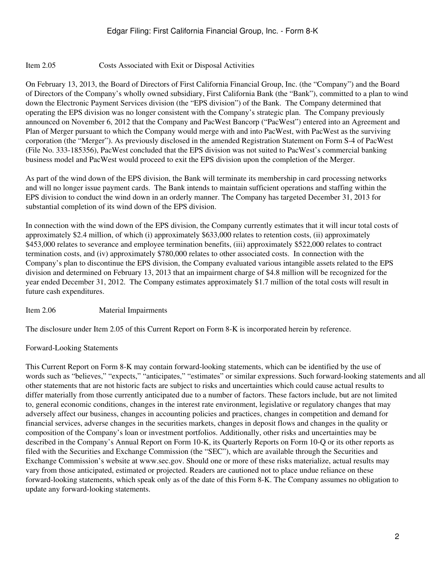# Item 2.05 Costs Associated with Exit or Disposal Activities

On February 13, 2013, the Board of Directors of First California Financial Group, Inc. (the "Company") and the Board of Directors of the Company's wholly owned subsidiary, First California Bank (the "Bank"), committed to a plan to wind down the Electronic Payment Services division (the "EPS division") of the Bank. The Company determined that operating the EPS division was no longer consistent with the Company's strategic plan. The Company previously announced on November 6, 2012 that the Company and PacWest Bancorp ("PacWest") entered into an Agreement and Plan of Merger pursuant to which the Company would merge with and into PacWest, with PacWest as the surviving corporation (the "Merger"). As previously disclosed in the amended Registration Statement on Form S-4 of PacWest (File No. 333-185356), PacWest concluded that the EPS division was not suited to PacWest's commercial banking business model and PacWest would proceed to exit the EPS division upon the completion of the Merger.

As part of the wind down of the EPS division, the Bank will terminate its membership in card processing networks and will no longer issue payment cards. The Bank intends to maintain sufficient operations and staffing within the EPS division to conduct the wind down in an orderly manner. The Company has targeted December 31, 2013 for substantial completion of its wind down of the EPS division.

In connection with the wind down of the EPS division, the Company currently estimates that it will incur total costs of approximately \$2.4 million, of which (i) approximately \$633,000 relates to retention costs, (ii) approximately \$453,000 relates to severance and employee termination benefits, (iii) approximately \$522,000 relates to contract termination costs, and (iv) approximately \$780,000 relates to other associated costs. In connection with the Company's plan to discontinue the EPS division, the Company evaluated various intangible assets related to the EPS division and determined on February 13, 2013 that an impairment charge of \$4.8 million will be recognized for the year ended December 31, 2012. The Company estimates approximately \$1.7 million of the total costs will result in future cash expenditures.

### Item 2.06 Material Impairments

The disclosure under Item 2.05 of this Current Report on Form 8-K is incorporated herein by reference.

### Forward-Looking Statements

This Current Report on Form 8-K may contain forward-looking statements, which can be identified by the use of words such as "believes," "expects," "anticipates," "estimates" or similar expressions. Such forward-looking statements and all other statements that are not historic facts are subject to risks and uncertainties which could cause actual results to differ materially from those currently anticipated due to a number of factors. These factors include, but are not limited to, general economic conditions, changes in the interest rate environment, legislative or regulatory changes that may adversely affect our business, changes in accounting policies and practices, changes in competition and demand for financial services, adverse changes in the securities markets, changes in deposit flows and changes in the quality or composition of the Company's loan or investment portfolios. Additionally, other risks and uncertainties may be described in the Company's Annual Report on Form 10-K, its Quarterly Reports on Form 10-Q or its other reports as filed with the Securities and Exchange Commission (the "SEC"), which are available through the Securities and Exchange Commission's website at www.sec.gov. Should one or more of these risks materialize, actual results may vary from those anticipated, estimated or projected. Readers are cautioned not to place undue reliance on these forward-looking statements, which speak only as of the date of this Form 8-K. The Company assumes no obligation to update any forward-looking statements.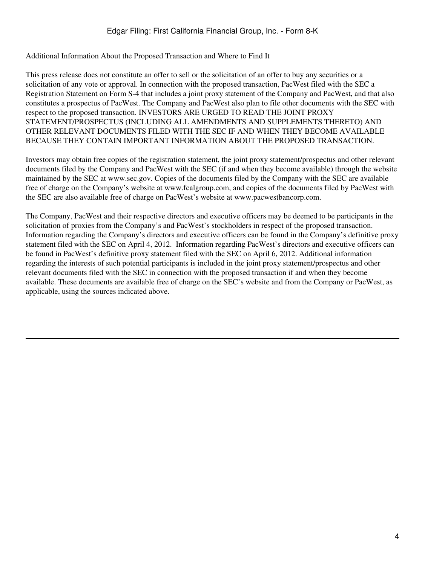Additional Information About the Proposed Transaction and Where to Find It

This press release does not constitute an offer to sell or the solicitation of an offer to buy any securities or a solicitation of any vote or approval. In connection with the proposed transaction, PacWest filed with the SEC a Registration Statement on Form S-4 that includes a joint proxy statement of the Company and PacWest, and that also constitutes a prospectus of PacWest. The Company and PacWest also plan to file other documents with the SEC with respect to the proposed transaction. INVESTORS ARE URGED TO READ THE JOINT PROXY STATEMENT/PROSPECTUS (INCLUDING ALL AMENDMENTS AND SUPPLEMENTS THERETO) AND OTHER RELEVANT DOCUMENTS FILED WITH THE SEC IF AND WHEN THEY BECOME AVAILABLE BECAUSE THEY CONTAIN IMPORTANT INFORMATION ABOUT THE PROPOSED TRANSACTION.

Investors may obtain free copies of the registration statement, the joint proxy statement/prospectus and other relevant documents filed by the Company and PacWest with the SEC (if and when they become available) through the website maintained by the SEC at www.sec.gov. Copies of the documents filed by the Company with the SEC are available free of charge on the Company's website at www.fcalgroup.com, and copies of the documents filed by PacWest with the SEC are also available free of charge on PacWest's website at www.pacwestbancorp.com.

The Company, PacWest and their respective directors and executive officers may be deemed to be participants in the solicitation of proxies from the Company's and PacWest's stockholders in respect of the proposed transaction. Information regarding the Company's directors and executive officers can be found in the Company's definitive proxy statement filed with the SEC on April 4, 2012. Information regarding PacWest's directors and executive officers can be found in PacWest's definitive proxy statement filed with the SEC on April 6, 2012. Additional information regarding the interests of such potential participants is included in the joint proxy statement/prospectus and other relevant documents filed with the SEC in connection with the proposed transaction if and when they become available. These documents are available free of charge on the SEC's website and from the Company or PacWest, as applicable, using the sources indicated above.